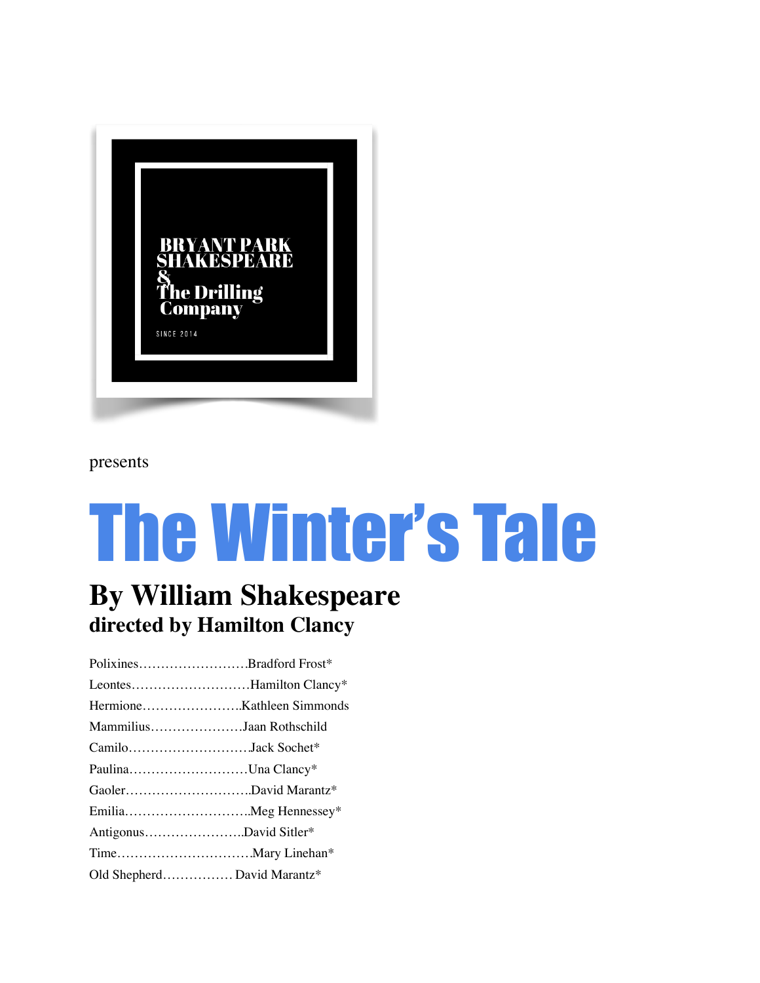

#### presents

# The Winter's Tale

### **By William Shakespeare directed by Hamilton Clancy**

Polixines…………………….Bradford Frost\* Leontes………………………Hamilton Clancy\* Hermione…………………..Kathleen Simmonds Mammilius…………………Jaan Rothschild Camilo……………………….Jack Sochet\* Paulina………………………Una Clancy\* Gaoler………………………..David Marantz\* Emilia………………………..Meg Hennessey\* Antigonus…………………..David Sitler\* Time………………………….Mary Linehan\* Old Shepherd……………. David Marantz\*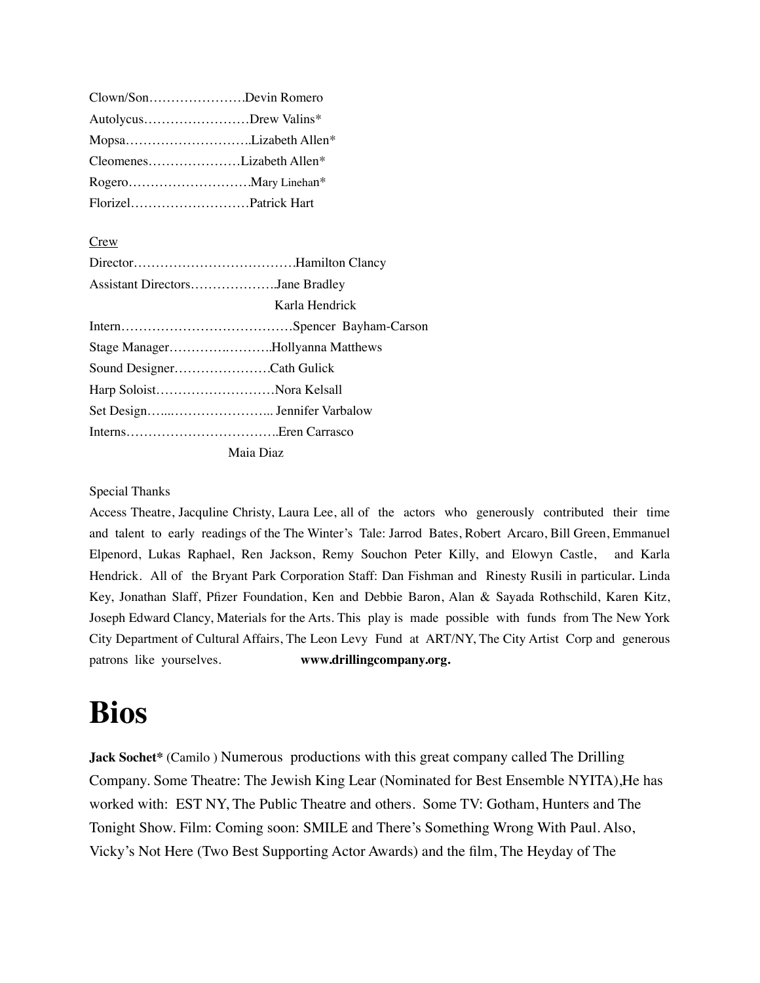| Clown/SonDevin Romero |                          |
|-----------------------|--------------------------|
| AutolycusDrew Valins* |                          |
|                       | MopsaLizabeth Allen*     |
|                       | CleomenesLizabeth Allen* |
|                       |                          |
| FlorizelPatrick Hart  |                          |
|                       |                          |

#### **Crew**

| Assistant DirectorsJane Bradley |
|---------------------------------|
| Karla Hendrick                  |
|                                 |
| Stage ManagerHollyanna Matthews |
| Sound DesignerCath Gulick       |
| Harp SoloistNora Kelsall        |
|                                 |
|                                 |
| Maia Diaz                       |

#### Special Thanks

Access Theatre, Jacquline Christy, Laura Lee, all of the actors who generously contributed their time and talent to early readings of the The Winter's Tale: Jarrod Bates, Robert Arcaro, Bill Green, Emmanuel Elpenord, Lukas Raphael, Ren Jackson, Remy Souchon Peter Killy, and Elowyn Castle, and Karla Hendrick. All of the Bryant Park Corporation Staff: Dan Fishman and Rinesty Rusili in particular. Linda Key, Jonathan Slaff, Pfizer Foundation, Ken and Debbie Baron, Alan & Sayada Rothschild, Karen Kitz, Joseph Edward Clancy, Materials for the Arts. This play is made possible with funds from The New York City Department of Cultural Affairs, The Leon Levy Fund at ART/NY, The City Artist Corp and generous patrons like yourselves. **www.drillingcompany.org.**

## **Bios**

**Jack Sochet\*** (Camilo ) Numerous productions with this great company called The Drilling Company. Some Theatre: The Jewish King Lear (Nominated for Best Ensemble NYITA),He has worked with: EST NY, The Public Theatre and others. Some TV: Gotham, Hunters and The Tonight Show. Film: Coming soon: SMILE and There's Something Wrong With Paul. Also, Vicky's Not Here (Two Best Supporting Actor Awards) and the film, The Heyday of The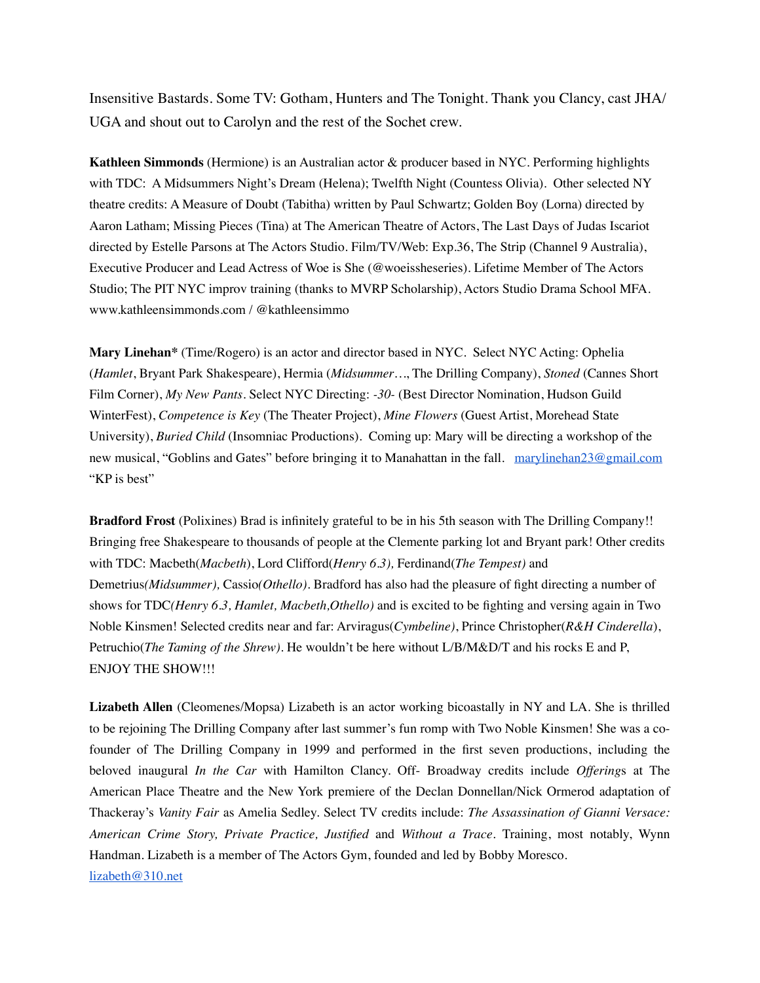Insensitive Bastards. Some TV: Gotham, Hunters and The Tonight. Thank you Clancy, cast JHA/ UGA and shout out to Carolyn and the rest of the Sochet crew.

**Kathleen Simmonds** (Hermione) is an Australian actor & producer based in NYC. Performing highlights with TDC: A Midsummers Night's Dream (Helena); Twelfth Night (Countess Olivia). Other selected NY theatre credits: A Measure of Doubt (Tabitha) written by Paul Schwartz; Golden Boy (Lorna) directed by Aaron Latham; Missing Pieces (Tina) at The American Theatre of Actors, The Last Days of Judas Iscariot directed by Estelle Parsons at The Actors Studio. Film/TV/Web: Exp.36, The Strip (Channel 9 Australia), Executive Producer and Lead Actress of Woe is She (@woeissheseries). Lifetime Member of The Actors Studio; The PIT NYC improv training (thanks to MVRP Scholarship), Actors Studio Drama School MFA. www.kathleensimmonds.com / @kathleensimmo

**Mary Linehan\*** (Time/Rogero) is an actor and director based in NYC. Select NYC Acting: Ophelia (*Hamlet*, Bryant Park Shakespeare), Hermia (*Midsummer…*, The Drilling Company), *Stoned* (Cannes Short Film Corner), *My New Pants.* Select NYC Directing: *-30-* (Best Director Nomination, Hudson Guild WinterFest), *Competence is Key* (The Theater Project), *Mine Flowers* (Guest Artist, Morehead State University), *Buried Child* (Insomniac Productions). Coming up: Mary will be directing a workshop of the new musical, "Goblins and Gates" before bringing it to Manahattan in the fall. [marylinehan23@gmail.com](mailto:marylinehan23@gmail.com) "KP is best"

**Bradford Frost** (Polixines) Brad is infinitely grateful to be in his 5th season with The Drilling Company!! Bringing free Shakespeare to thousands of people at the Clemente parking lot and Bryant park! Other credits with TDC: Macbeth(*Macbeth*), Lord Clifford(*Henry 6.3),* Ferdinand(*The Tempest)* and Demetrius*(Midsummer),* Cassio*(Othello).* Bradford has also had the pleasure of fight directing a number of shows for TDC*(Henry 6.3, Hamlet, Macbeth,Othello)* and is excited to be fighting and versing again in Two Noble Kinsmen! Selected credits near and far: Arviragus(*Cymbeline)*, Prince Christopher(*R&H Cinderella*), Petruchio(*The Taming of the Shrew).* He wouldn't be here without L/B/M&D/T and his rocks E and P, ENJOY THE SHOW!!!

**Lizabeth Allen** (Cleomenes/Mopsa) Lizabeth is an actor working bicoastally in NY and LA. She is thrilled to be rejoining The Drilling Company after last summer's fun romp with Two Noble Kinsmen! She was a cofounder of The Drilling Company in 1999 and performed in the first seven productions, including the beloved inaugural *In the Car* with Hamilton Clancy. Off- Broadway credits include *Offering*s at The American Place Theatre and the New York premiere of the Declan Donnellan/Nick Ormerod adaptation of Thackeray's *Vanity Fair* as Amelia Sedley. Select TV credits include: *The Assassination of Gianni Versace: American Crime Story, Private Practice, Justified* and *Without a Trace*. Training, most notably, Wynn Handman. Lizabeth is a member of The Actors Gym, founded and led by Bobby Moresco. [lizabeth@310.net](mailto:lizabeth@310.net)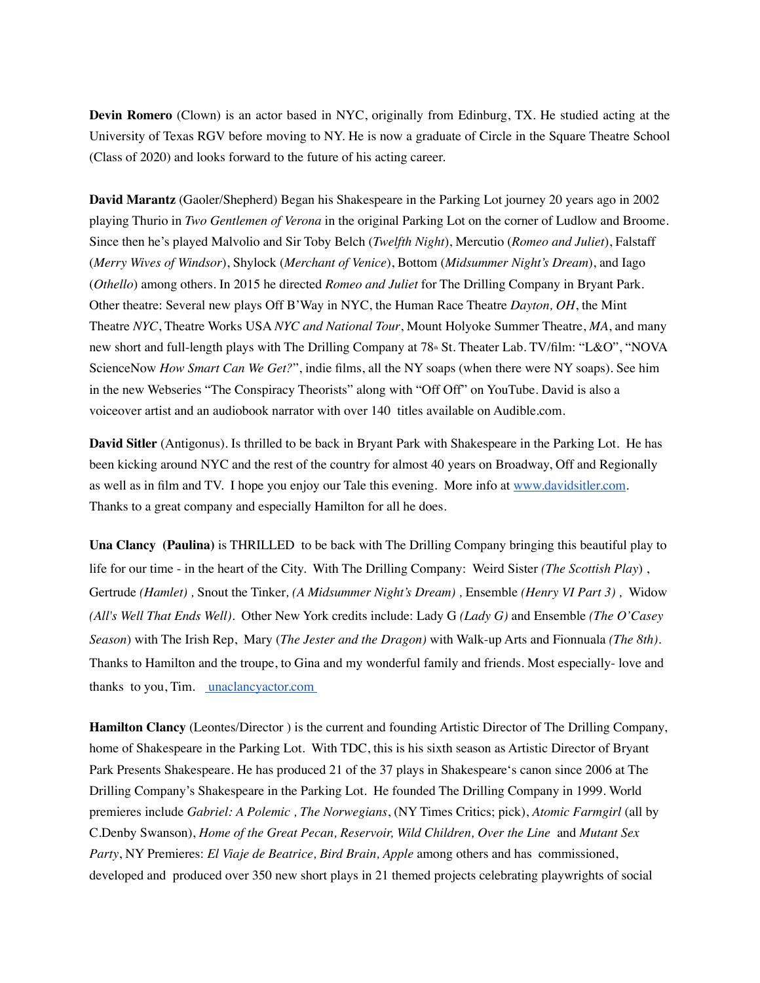**Devin Romero** (Clown) is an actor based in NYC, originally from Edinburg, TX. He studied acting at the University of Texas RGV before moving to NY. He is now a graduate of Circle in the Square Theatre School (Class of 2020) and looks forward to the future of his acting career.

**David Marantz** (Gaoler/Shepherd) Began his Shakespeare in the Parking Lot journey 20 years ago in 2002 playing Thurio in *Two Gentlemen of Verona* in the original Parking Lot on the corner of Ludlow and Broome. Since then he's played Malvolio and Sir Toby Belch (*Twelfth Night*), Mercutio (*Romeo and Juliet*), Falstaff (*Merry Wives of Windsor*), Shylock (*Merchant of Venice*), Bottom (*Midsummer Night's Dream*), and Iago (*Othello*) among others. In 2015 he directed *Romeo and Juliet* for The Drilling Company in Bryant Park. Other theatre: Several new plays Off B'Way in NYC, the Human Race Theatre *Dayton, OH*, the Mint Theatre *NYC*, Theatre Works USA *NYC and National Tour*, Mount Holyoke Summer Theatre, *MA*, and many new short and full-length plays with The Drilling Company at 78<sup>th</sup> St. Theater Lab. TV/film: "L&O", "NOVA ScienceNow *How Smart Can We Get?*", indie films, all the NY soaps (when there were NY soaps). See him in the new Webseries "The Conspiracy Theorists" along with "Off Off" on YouTube. David is also a voiceover artist and an audiobook narrator with over 140 titles available on Audible.com.

**David Sitler** (Antigonus). Is thrilled to be back in Bryant Park with Shakespeare in the Parking Lot. He has been kicking around NYC and the rest of the country for almost 40 years on Broadway, Off and Regionally as well as in film and TV. I hope you enjoy our Tale this evening. More info at [www.davidsitler.com](http://www.davidsitler.com/). Thanks to a great company and especially Hamilton for all he does.

**Una Clancy (Paulina)** is THRILLED to be back with The Drilling Company bringing this beautiful play to life for our time - in the heart of the City. With The Drilling Company: Weird Sister *(The Scottish Play*) , Gertrude *(Hamlet) ,* Snout the Tinker*, (A Midsummer Night's Dream) ,* Ensemble *(Henry VI Part 3) ,* Widow *(All's Well That Ends Well).* Other New York credits include: Lady G *(Lady G)* and Ensemble *(The O'Casey Season*) with The Irish Rep, Mary (*The Jester and the Dragon)* with Walk-up Arts and Fionnuala *(The 8th).* Thanks to Hamilton and the troupe, to Gina and my wonderful family and friends. Most especially- love and thanks to you, Tim. [unaclancyactor.com](https://www.unaclancyactor.com/)

**Hamilton Clancy** (Leontes/Director ) is the current and founding Artistic Director of The Drilling Company, home of Shakespeare in the Parking Lot. With TDC, this is his sixth season as Artistic Director of Bryant Park Presents Shakespeare. He has produced 21 of the 37 plays in Shakespeare's canon since 2006 at The Drilling Company's Shakespeare in the Parking Lot. He founded The Drilling Company in 1999. World premieres include *Gabriel: A Polemic , The Norwegians*, (NY Times Critics; pick), *Atomic Farmgirl* (all by C.Denby Swanson), *Home of the Great Pecan, Reservoir, Wild Children, Over the Line* and *Mutant Sex Party*, NY Premieres: *El Viaje de Beatrice, Bird Brain, Apple* among others and has commissioned, developed and produced over 350 new short plays in 21 themed projects celebrating playwrights of social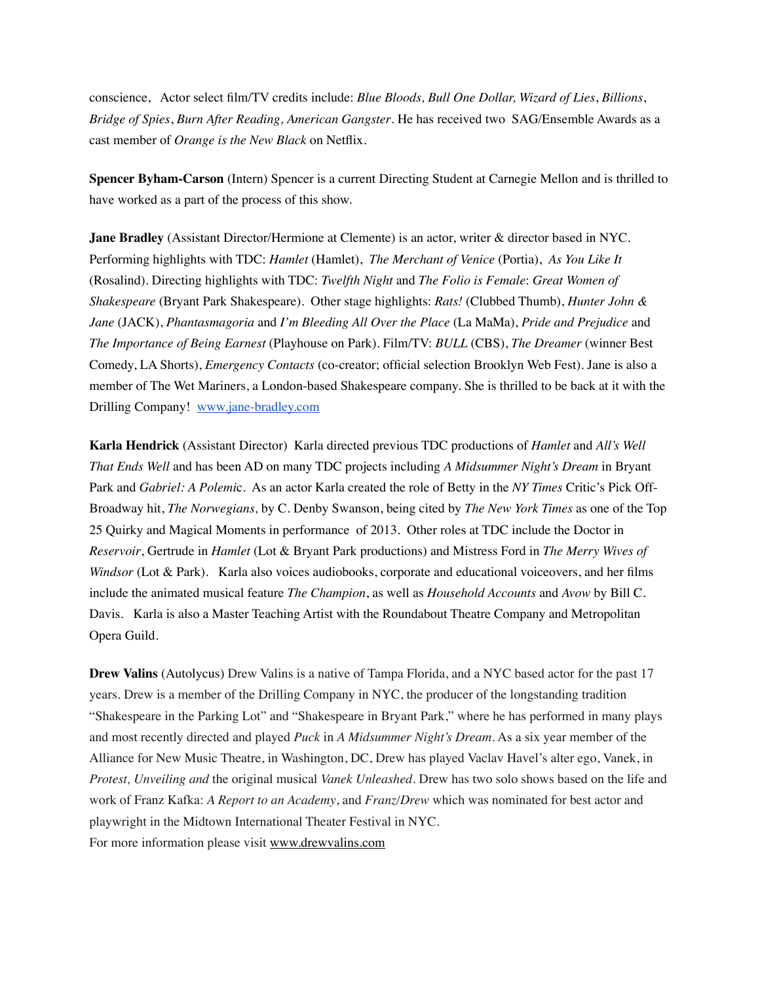conscience, Actor select film/TV credits include: *Blue Bloods, Bull One Dollar, Wizard of Lies*, *Billions*, *Bridge of Spies*, *Burn After Reading, American Gangster*. He has received two SAG/Ensemble Awards as a cast member of *Orange is the New Black* on Netflix.

**Spencer Byham-Carson** (Intern) Spencer is a current Directing Student at Carnegie Mellon and is thrilled to have worked as a part of the process of this show.

**Jane Bradley** (Assistant Director/Hermione at Clemente) is an actor, writer & director based in NYC. Performing highlights with TDC: *Hamlet* (Hamlet), *The Merchant of Venice* (Portia), *As You Like It* (Rosalind). Directing highlights with TDC: *Twelfth Night* and *The Folio is Female*: *Great Women of Shakespeare* (Bryant Park Shakespeare). Other stage highlights: *Rats!* (Clubbed Thumb), *Hunter John & Jane* (JACK), *Phantasmagoria* and *I'm Bleeding All Over the Place* (La MaMa), *Pride and Prejudice* and *The Importance of Being Earnest* (Playhouse on Park). Film/TV: *BULL* (CBS), *The Dreamer* (winner Best Comedy, LA Shorts), *Emergency Contacts* (co-creator; official selection Brooklyn Web Fest). Jane is also a member of The Wet Mariners, a London-based Shakespeare company. She is thrilled to be back at it with the Drilling Company! [www.jane-bradley.com](http://www.jane-bradley.com/)

**Karla Hendrick** (Assistant Director) Karla directed previous TDC productions of *Hamlet* and *All's Well That Ends Well* and has been AD on many TDC projects including *A Midsummer Night's Dream* in Bryant Park and *Gabriel: A Polemi*c. As an actor Karla created the role of Betty in the *NY Times* Critic's Pick Off-Broadway hit, *The Norwegians,* by C. Denby Swanson, being cited by *The New York Times* as one of the Top 25 Quirky and Magical Moments in performance of 2013. Other roles at TDC include the Doctor in *Reservoir*, Gertrude in *Hamlet* (Lot & Bryant Park productions) and Mistress Ford in *The Merry Wives of Windsor* (Lot & Park). Karla also voices audiobooks, corporate and educational voiceovers, and her films include the animated musical feature *The Champion*, as well as *Household Accounts* and *Avow* by Bill C. Davis. Karla is also a Master Teaching Artist with the Roundabout Theatre Company and Metropolitan Opera Guild.

**Drew Valins** (Autolycus) Drew Valins is a native of Tampa Florida, and a NYC based actor for the past 17 years. Drew is a member of the Drilling Company in NYC, the producer of the longstanding tradition "Shakespeare in the Parking Lot" and "Shakespeare in Bryant Park," where he has performed in many plays and most recently directed and played *Puck* in *A Midsummer Night's Dream.* As a six year member of the Alliance for New Music Theatre, in Washington, DC, Drew has played Vaclav Havel's alter ego, Vanek, in *Protest, Unveiling and* the original musical *Vanek Unleashed.* Drew has two solo shows based on the life and work of Franz Kafka: *A Report to an Academy*, and *Franz/Drew* which was nominated for best actor and playwright in the Midtown International Theater Festival in NYC. For more information please visit [www.drewvalins.com](http://www.drewvalins.com/)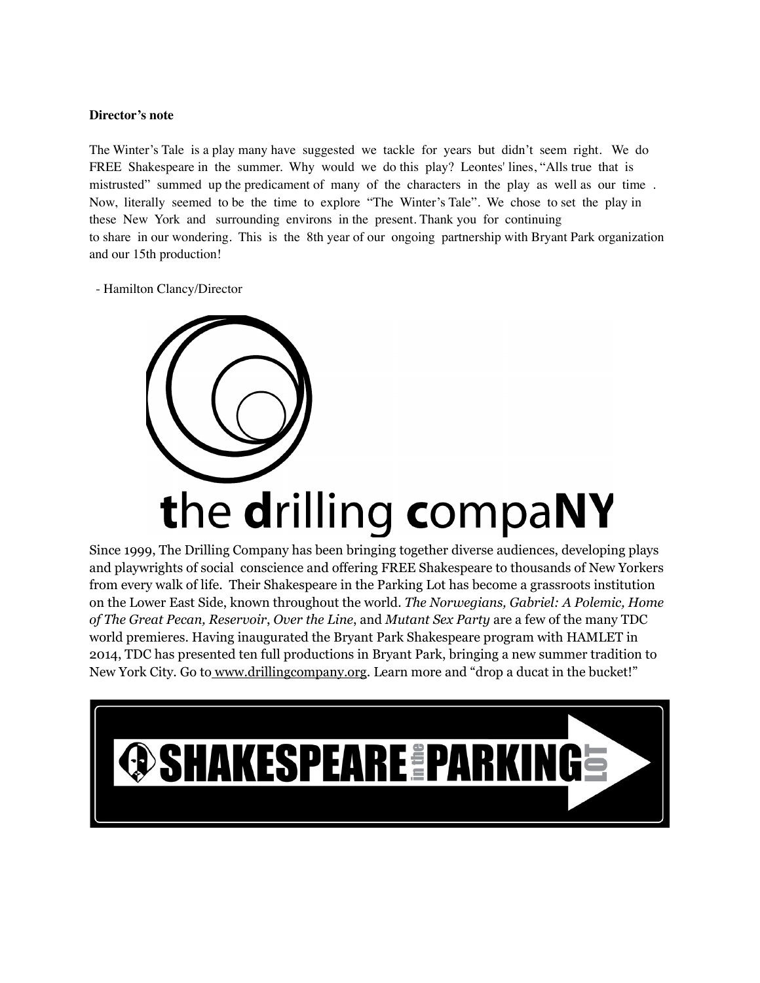#### **Director's note**

The Winter's Tale is a play many have suggested we tackle for years but didn't seem right. We do FREE Shakespeare in the summer. Why would we do this play? Leontes' lines, "Alls true that is mistrusted" summed up the predicament of many of the characters in the play as well as our time . Now, literally seemed to be the time to explore "The Winter's Tale". We chose to set the play in these New York and surrounding environs in the present. Thank you for continuing to share in our wondering. This is the 8th year of our ongoing partnership with Bryant Park organization and our 15th production!

- Hamilton Clancy/Director



Since 1999, The Drilling Company has been bringing together diverse audiences, developing plays and playwrights of social conscience and offering FREE Shakespeare to thousands of New Yorkers from every walk of life. Their Shakespeare in the Parking Lot has become a grassroots institution on the Lower East Side, known throughout the world. *The Norwegians, Gabriel: A Polemic, Home of The Great Pecan, Reservoir*, *Over the Line*, and *Mutant Sex Party* are a few of the many TDC world premieres. Having inaugurated the Bryant Park Shakespeare program with HAMLET in 2014, TDC has presented ten full productions in Bryant Park, bringing a new summer tradition to New York City. Go to [www.drillingcompany.org.](http://www.drillingcompany.org/) Learn more and "drop a ducat in the bucket!"